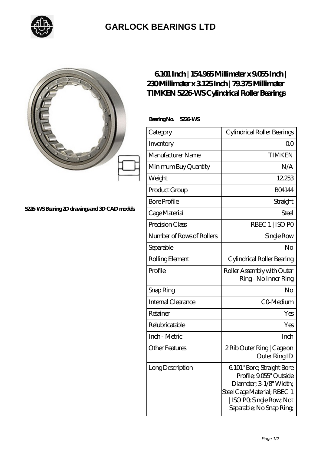

## **[GARLOCK BEARINGS LTD](https://m.letterstopriests.com)**

## **[5226-WS Bearing 2D drawings and 3D CAD models](https://m.letterstopriests.com/pic-188363.html)**

## **[6.101 Inch | 154.965 Millimeter x 9.055 Inch |](https://m.letterstopriests.com/bz-188363-timken-5226-ws-cylindrical-roller-bearings.html) [230 Millimeter x 3.125 Inch | 79.375 Millimeter](https://m.letterstopriests.com/bz-188363-timken-5226-ws-cylindrical-roller-bearings.html) [TIMKEN 5226-WS Cylindrical Roller Bearings](https://m.letterstopriests.com/bz-188363-timken-5226-ws-cylindrical-roller-bearings.html)**

 **Bearing No. 5226-WS**

| Category                  | Cylindrical Roller Bearings                                                                                                                                           |
|---------------------------|-----------------------------------------------------------------------------------------------------------------------------------------------------------------------|
| Inventory                 | Q0                                                                                                                                                                    |
| Manufacturer Name         | <b>TIMKEN</b>                                                                                                                                                         |
| Minimum Buy Quantity      | N/A                                                                                                                                                                   |
| Weight                    | 12253                                                                                                                                                                 |
| Product Group             | <b>BO4144</b>                                                                                                                                                         |
| <b>Bore Profile</b>       | Straight                                                                                                                                                              |
| Cage Material             | <b>Steel</b>                                                                                                                                                          |
| Precision Class           | RBEC 1   ISO PO                                                                                                                                                       |
| Number of Rows of Rollers | Single Row                                                                                                                                                            |
| Separable                 | No                                                                                                                                                                    |
| Rolling Element           | Cylindrical Roller Bearing                                                                                                                                            |
| Profile                   | Roller Assembly with Outer<br>Ring - No Inner Ring                                                                                                                    |
| Snap Ring                 | No                                                                                                                                                                    |
| Internal Clearance        | CO-Medium                                                                                                                                                             |
| Retainer                  | Yes                                                                                                                                                                   |
| Relubricatable            | Yes                                                                                                                                                                   |
| Inch - Metric             | Inch                                                                                                                                                                  |
| <b>Other Features</b>     | 2 Rib Outer Ring   Cage on<br>Outer Ring ID                                                                                                                           |
| Long Description          | 6101" Bore; Straight Bore<br>Profile; 9.055" Outside<br>Diameter, 3 1/8" Width;<br>Steel Cage Material; RBEC 1<br>ISO PO, Single Row, Not<br>Separable; No Snap Ring; |